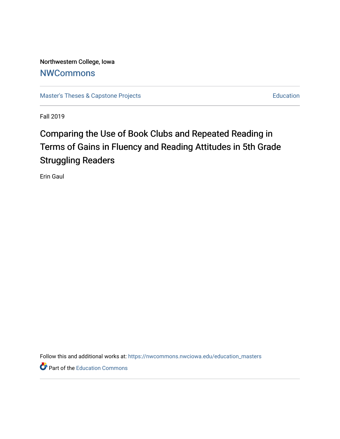Northwestern College, Iowa **[NWCommons](https://nwcommons.nwciowa.edu/)** 

[Master's Theses & Capstone Projects](https://nwcommons.nwciowa.edu/education_masters) **Education** Education

Fall 2019

# Comparing the Use of Book Clubs and Repeated Reading in Terms of Gains in Fluency and Reading Attitudes in 5th Grade Struggling Readers

Erin Gaul

Follow this and additional works at: [https://nwcommons.nwciowa.edu/education\\_masters](https://nwcommons.nwciowa.edu/education_masters?utm_source=nwcommons.nwciowa.edu%2Feducation_masters%2F187&utm_medium=PDF&utm_campaign=PDFCoverPages)

**P** Part of the [Education Commons](http://network.bepress.com/hgg/discipline/784?utm_source=nwcommons.nwciowa.edu%2Feducation_masters%2F187&utm_medium=PDF&utm_campaign=PDFCoverPages)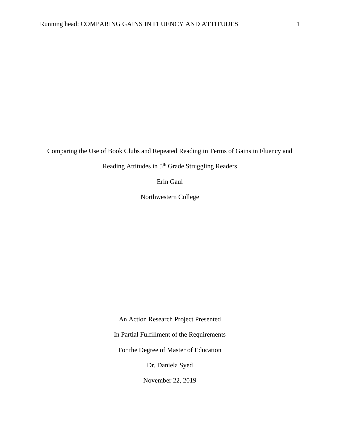Comparing the Use of Book Clubs and Repeated Reading in Terms of Gains in Fluency and

Reading Attitudes in 5<sup>th</sup> Grade Struggling Readers

Erin Gaul

Northwestern College

An Action Research Project Presented In Partial Fulfillment of the Requirements For the Degree of Master of Education Dr. Daniela Syed November 22, 2019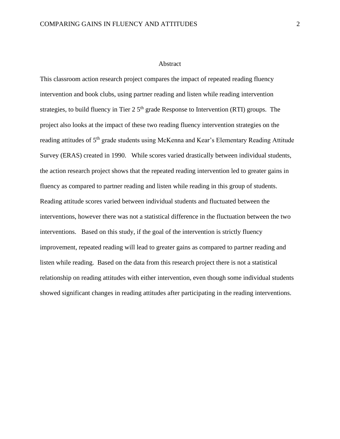#### Abstract

This classroom action research project compares the impact of repeated reading fluency intervention and book clubs, using partner reading and listen while reading intervention strategies, to build fluency in Tier  $2.5<sup>th</sup>$  grade Response to Intervention (RTI) groups. The project also looks at the impact of these two reading fluency intervention strategies on the reading attitudes of 5<sup>th</sup> grade students using McKenna and Kear's Elementary Reading Attitude Survey (ERAS) created in 1990. While scores varied drastically between individual students, the action research project shows that the repeated reading intervention led to greater gains in fluency as compared to partner reading and listen while reading in this group of students. Reading attitude scores varied between individual students and fluctuated between the interventions, however there was not a statistical difference in the fluctuation between the two interventions. Based on this study, if the goal of the intervention is strictly fluency improvement, repeated reading will lead to greater gains as compared to partner reading and listen while reading. Based on the data from this research project there is not a statistical relationship on reading attitudes with either intervention, even though some individual students showed significant changes in reading attitudes after participating in the reading interventions.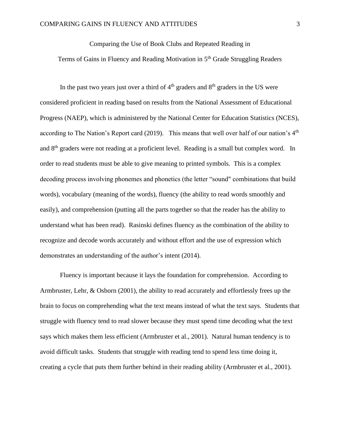Comparing the Use of Book Clubs and Repeated Reading in

Terms of Gains in Fluency and Reading Motivation in 5<sup>th</sup> Grade Struggling Readers

In the past two years just over a third of  $4<sup>th</sup>$  graders and  $8<sup>th</sup>$  graders in the US were considered proficient in reading based on results from the National Assessment of Educational Progress (NAEP), which is administered by the National Center for Education Statistics (NCES), according to The Nation's Report card (2019). This means that well over half of our nation's 4<sup>th</sup> and 8<sup>th</sup> graders were not reading at a proficient level. Reading is a small but complex word. In order to read students must be able to give meaning to printed symbols. This is a complex decoding process involving phonemes and phonetics (the letter "sound" combinations that build words), vocabulary (meaning of the words), fluency (the ability to read words smoothly and easily), and comprehension (putting all the parts together so that the reader has the ability to understand what has been read). Rasinski defines fluency as the combination of the ability to recognize and decode words accurately and without effort and the use of expression which demonstrates an understanding of the author's intent (2014).

Fluency is important because it lays the foundation for comprehension. According to Armbruster, Lehr, & Osborn (2001), the ability to read accurately and effortlessly frees up the brain to focus on comprehending what the text means instead of what the text says. Students that struggle with fluency tend to read slower because they must spend time decoding what the text says which makes them less efficient (Armbruster et al., 2001). Natural human tendency is to avoid difficult tasks. Students that struggle with reading tend to spend less time doing it, creating a cycle that puts them further behind in their reading ability (Armbruster et al., 2001).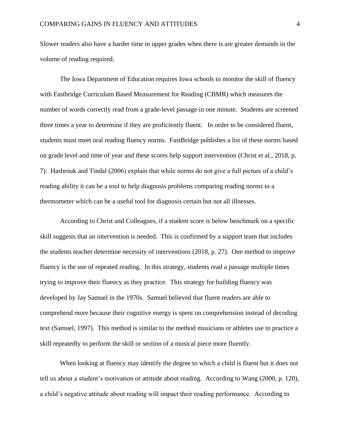Slower readers also have a harder time in upper grades when there is are greater demands in the volume of reading required.

The Iowa Department of Education requires Iowa schools to monitor the skill of fluency with Fastbridge Curriculum Based Measurement for Reading (CBMR) which measures the number of words correctly read from a grade-level passage in one minute. Students are screened three times a year to determine if they are proficiently fluent. In order to be considered fluent, students must meet oral reading fluency norms. FastBridge publishes a list of these norms based on grade level and time of year and these scores help support intervention (Christ et al., 2018, p. 7). Hasbrouk and Tindal (2006) explain that while norms do not give a full picture of a child's reading ability it can be a tool to help diagnosis problems comparing reading norms to a thermometer which can be a useful tool for diagnosis certain but not all illnesses.

According to Christ and Colleagues, if a student score is below benchmark on a specific skill suggests that an intervention is needed. This is confirmed by a support team that includes the students teacher determine necessity of interventions (2018, p. 27). One method to improve fluency is the use of repeated reading. In this strategy, students read a passage multiple times trying to improve their fluency as they practice. This strategy for building fluency was developed by Jay Samuel in the 1970s. Samuel believed that fluent readers are able to comprehend more because their cognitive energy is spent on comprehension instead of decoding text (Samuel, 1997). This method is similar to the method musicians or athletes use to practice a skill repeatedly to perform the skill or section of a musical piece more fluently.

When looking at fluency may identify the degree to which a child is fluent but it does not tell us about a student's motivation or attitude about reading. According to Wang (2000, p. 120), a child's negative attitude about reading will impact their reading performance. According to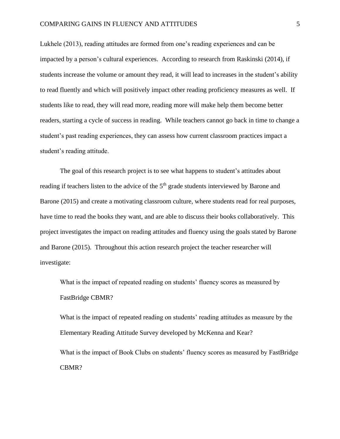Lukhele (2013), reading attitudes are formed from one's reading experiences and can be impacted by a person's cultural experiences. According to research from Raskinski (2014), if students increase the volume or amount they read, it will lead to increases in the student's ability to read fluently and which will positively impact other reading proficiency measures as well. If students like to read, they will read more, reading more will make help them become better readers, starting a cycle of success in reading. While teachers cannot go back in time to change a student's past reading experiences, they can assess how current classroom practices impact a student's reading attitude.

The goal of this research project is to see what happens to student's attitudes about reading if teachers listen to the advice of the 5<sup>th</sup> grade students interviewed by Barone and Barone (2015) and create a motivating classroom culture, where students read for real purposes, have time to read the books they want, and are able to discuss their books collaboratively. This project investigates the impact on reading attitudes and fluency using the goals stated by Barone and Barone (2015). Throughout this action research project the teacher researcher will investigate:

What is the impact of repeated reading on students' fluency scores as measured by FastBridge CBMR?

What is the impact of repeated reading on students' reading attitudes as measure by the Elementary Reading Attitude Survey developed by McKenna and Kear?

What is the impact of Book Clubs on students' fluency scores as measured by FastBridge CBMR?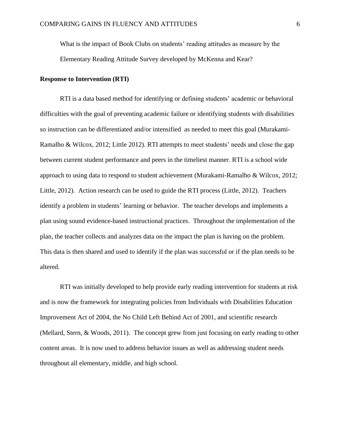What is the impact of Book Clubs on students' reading attitudes as measure by the Elementary Reading Attitude Survey developed by McKenna and Kear?

#### **Response to Intervention (RTI)**

RTI is a data based method for identifying or defining students' academic or behavioral difficulties with the goal of preventing academic failure or identifying students with disabilities so instruction can be differentiated and/or intensified as needed to meet this goal (Murakami-Ramalho & Wilcox, 2012; Little 2012). RTI attempts to meet students' needs and close the gap between current student performance and peers in the timeliest manner. RTI is a school wide approach to using data to respond to student achievement (Murakami-Ramalho & Wilcox, 2012; Little, 2012). Action research can be used to guide the RTI process (Little, 2012). Teachers identify a problem in students' learning or behavior. The teacher develops and implements a plan using sound evidence-based instructional practices. Throughout the implementation of the plan, the teacher collects and analyzes data on the impact the plan is having on the problem. This data is then shared and used to identify if the plan was successful or if the plan needs to be altered.

RTI was initially developed to help provide early reading intervention for students at risk and is now the framework for integrating policies from Individuals with Disabilities Education Improvement Act of 2004, the No Child Left Behind Act of 2001, and scientific research (Mellard, Stern, & Woods, 2011). The concept grew from just focusing on early reading to other content areas. It is now used to address behavior issues as well as addressing student needs throughout all elementary, middle, and high school.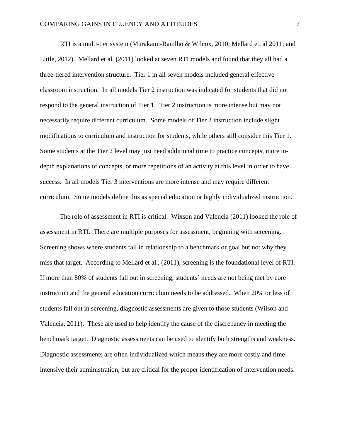RTI is a multi-tier system (Murakami-Ramlho & Wilcox, 2010; Mellard et. al 2011; and Little, 2012). Mellard et al. (2011) looked at seven RTI models and found that they all had a three-tiered intervention structure. Tier 1 in all seven models included general effective classroom instruction. In all models Tier 2 instruction was indicated for students that did not respond to the general instruction of Tier 1. Tier 2 instruction is more intense but may not necessarily require different curriculum. Some models of Tier 2 instruction include slight modifications to curriculum and instruction for students, while others still consider this Tier 1. Some students at the Tier 2 level may just need additional time to practice concepts, more indepth explanations of concepts, or more repetitions of an activity at this level in order to have success. In all models Tier 3 interventions are more intense and may require different curriculum. Some models define this as special education or highly individualized instruction.

The role of assessment in RTI is critical. Wixson and Valencia (2011) looked the role of assessment in RTI. There are multiple purposes for assessment, beginning with screening. Screening shows where students fall in relationship to a benchmark or goal but not why they miss that target. According to Mellard et al., (2011), screening is the foundational level of RTI. If more than 80% of students fall out in screening, students' needs are not being met by core instruction and the general education curriculum needs to be addressed. When 20% or less of students fall out in screening, diagnostic assessments are given to those students (Wilson and Valencia, 2011). These are used to help identify the cause of the discrepancy in meeting the benchmark target. Diagnostic assessments can be used to identify both strengths and weakness. Diagnostic assessments are often individualized which means they are more costly and time intensive their administration, but are critical for the proper identification of intervention needs.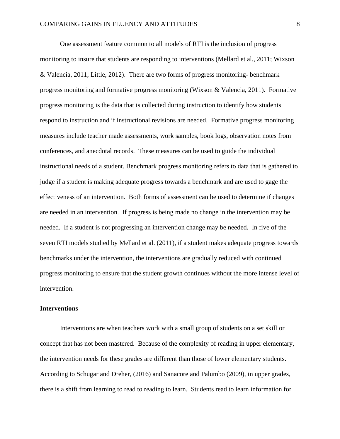One assessment feature common to all models of RTI is the inclusion of progress monitoring to insure that students are responding to interventions (Mellard et al., 2011; Wixson & Valencia, 2011; Little, 2012). There are two forms of progress monitoring- benchmark progress monitoring and formative progress monitoring (Wixson & Valencia, 2011). Formative progress monitoring is the data that is collected during instruction to identify how students respond to instruction and if instructional revisions are needed. Formative progress monitoring measures include teacher made assessments, work samples, book logs, observation notes from conferences, and anecdotal records. These measures can be used to guide the individual instructional needs of a student. Benchmark progress monitoring refers to data that is gathered to judge if a student is making adequate progress towards a benchmark and are used to gage the effectiveness of an intervention. Both forms of assessment can be used to determine if changes are needed in an intervention. If progress is being made no change in the intervention may be needed. If a student is not progressing an intervention change may be needed. In five of the seven RTI models studied by Mellard et al. (2011), if a student makes adequate progress towards benchmarks under the intervention, the interventions are gradually reduced with continued progress monitoring to ensure that the student growth continues without the more intense level of intervention.

#### **Interventions**

Interventions are when teachers work with a small group of students on a set skill or concept that has not been mastered. Because of the complexity of reading in upper elementary, the intervention needs for these grades are different than those of lower elementary students. According to Schugar and Dreher, (2016) and Sanacore and Palumbo (2009), in upper grades, there is a shift from learning to read to reading to learn. Students read to learn information for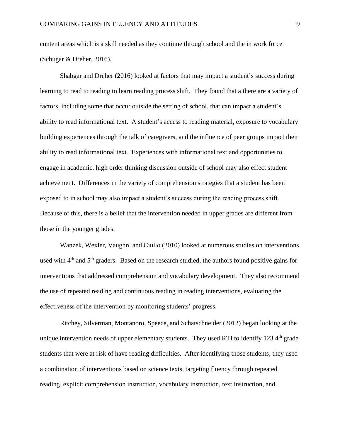content areas which is a skill needed as they continue through school and the in work force (Schugar & Dreher, 2016).

Shabgar and Dreher (2016) looked at factors that may impact a student's success during learning to read to reading to learn reading process shift. They found that a there are a variety of factors, including some that occur outside the setting of school, that can impact a student's ability to read informational text. A student's access to reading material, exposure to vocabulary building experiences through the talk of caregivers, and the influence of peer groups impact their ability to read informational text. Experiences with informational text and opportunities to engage in academic, high order thinking discussion outside of school may also effect student achievement. Differences in the variety of comprehension strategies that a student has been exposed to in school may also impact a student's success during the reading process shift. Because of this, there is a belief that the intervention needed in upper grades are different from those in the younger grades.

Wanzek, Wexler, Vaughn, and Ciullo (2010) looked at numerous studies on interventions used with 4<sup>th</sup> and 5<sup>th</sup> graders. Based on the research studied, the authors found positive gains for interventions that addressed comprehension and vocabulary development. They also recommend the use of repeated reading and continuous reading in reading interventions, evaluating the effectiveness of the intervention by monitoring students' progress.

Ritchey, Silverman, Montanoro, Speece, and Schatschneider (2012) began looking at the unique intervention needs of upper elementary students. They used RTI to identify  $123\,4<sup>th</sup>$  grade students that were at risk of have reading difficulties. After identifying those students, they used a combination of interventions based on science texts, targeting fluency through repeated reading, explicit comprehension instruction, vocabulary instruction, text instruction, and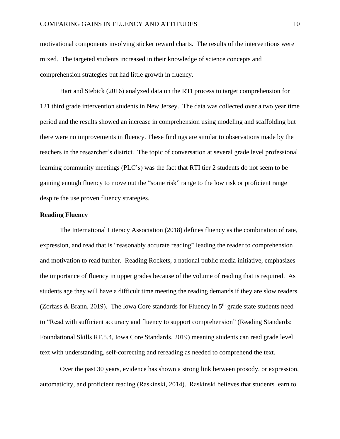motivational components involving sticker reward charts. The results of the interventions were mixed. The targeted students increased in their knowledge of science concepts and comprehension strategies but had little growth in fluency.

Hart and Stebick (2016) analyzed data on the RTI process to target comprehension for 121 third grade intervention students in New Jersey. The data was collected over a two year time period and the results showed an increase in comprehension using modeling and scaffolding but there were no improvements in fluency. These findings are similar to observations made by the teachers in the researcher's district. The topic of conversation at several grade level professional learning community meetings (PLC's) was the fact that RTI tier 2 students do not seem to be gaining enough fluency to move out the "some risk" range to the low risk or proficient range despite the use proven fluency strategies.

# **Reading Fluency**

The International Literacy Association (2018) defines fluency as the combination of rate, expression, and read that is "reasonably accurate reading" leading the reader to comprehension and motivation to read further. Reading Rockets, a national public media initiative, emphasizes the importance of fluency in upper grades because of the volume of reading that is required. As students age they will have a difficult time meeting the reading demands if they are slow readers. (Zorfass & Brann, 2019). The Iowa Core standards for Fluency in  $5<sup>th</sup>$  grade state students need to "Read with sufficient accuracy and fluency to support comprehension" (Reading Standards: Foundational Skills RF.5.4, Iowa Core Standards, 2019) meaning students can read grade level text with understanding, self-correcting and rereading as needed to comprehend the text.

Over the past 30 years, evidence has shown a strong link between prosody, or expression, automaticity, and proficient reading (Raskinski, 2014). Raskinski believes that students learn to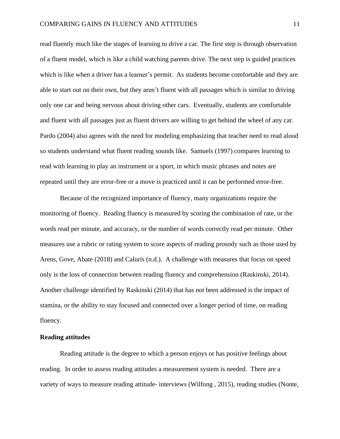read fluently much like the stages of learning to drive a car. The first step is through observation of a fluent model, which is like a child watching parents drive. The next step is guided practices which is like when a driver has a learner's permit. As students become comfortable and they are able to start out on their own, but they aren't fluent with all passages which is similar to driving only one car and being nervous about driving other cars. Eventually, students are comfortable and fluent with all passages just as fluent drivers are willing to get behind the wheel of any car. Pardo (2004) also agrees with the need for modeling emphasizing that teacher need to read aloud so students understand what fluent reading sounds like. Samuels (1997) compares learning to read with learning to play an instrument or a sport, in which music phrases and notes are repeated until they are error-free or a move is practiced until it can be performed error-free.

Because of the recognized importance of fluency, many organizations require the monitoring of fluency. Reading fluency is measured by scoring the combination of rate, or the words read per minute, and accuracy, or the number of words correctly read per minute. Other measures use a rubric or rating system to score aspects of reading prosody such as those used by Arens, Gove, Abate (2018) and Caluris (n.d.). A challenge with measures that focus on speed only is the loss of connection between reading fluency and comprehension (Raskinski, 2014). Another challenge identified by Raskinski (2014) that has not been addressed is the impact of stamina, or the ability to stay focused and connected over a longer period of time, on reading fluency.

### **Reading attitudes**

Reading attitude is the degree to which a person enjoys or has positive feelings about reading. In order to assess reading attitudes a measurement system is needed. There are a variety of ways to measure reading attitude- interviews (Wilfong , 2015), reading studies (Nonte,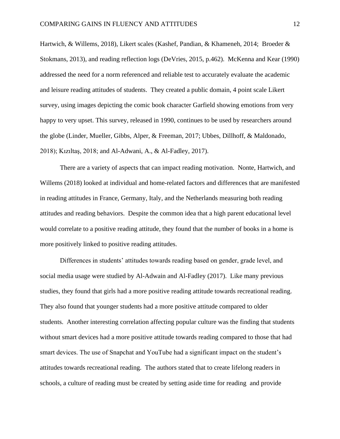Hartwich, & Willems, 2018), Likert scales (Kashef, Pandian, & Khameneh, 2014; Broeder & Stokmans, 2013), and reading reflection logs (DeVries, 2015, p.462). McKenna and Kear (1990) addressed the need for a norm referenced and reliable test to accurately evaluate the academic and leisure reading attitudes of students. They created a public domain, 4 point scale Likert survey, using images depicting the comic book character Garfield showing emotions from very happy to very upset. This survey, released in 1990, continues to be used by researchers around the globe (Linder, Mueller, Gibbs, Alper, & Freeman, 2017; Ubbes, Dillhoff, & Maldonado, 2018); Kızıltaş, 2018; and Al-Adwani, A., & Al-Fadley, 2017).

There are a variety of aspects that can impact reading motivation. Nonte, Hartwich, and Willems (2018) looked at individual and home-related factors and differences that are manifested in reading attitudes in France, Germany, Italy, and the Netherlands measuring both reading attitudes and reading behaviors. Despite the common idea that a high parent educational level would correlate to a positive reading attitude, they found that the number of books in a home is more positively linked to positive reading attitudes.

Differences in students' attitudes towards reading based on gender, grade level, and social media usage were studied by Al-Adwain and Al-Fadley (2017). Like many previous studies, they found that girls had a more positive reading attitude towards recreational reading. They also found that younger students had a more positive attitude compared to older students. Another interesting correlation affecting popular culture was the finding that students without smart devices had a more positive attitude towards reading compared to those that had smart devices. The use of Snapchat and YouTube had a significant impact on the student's attitudes towards recreational reading. The authors stated that to create lifelong readers in schools, a culture of reading must be created by setting aside time for reading and provide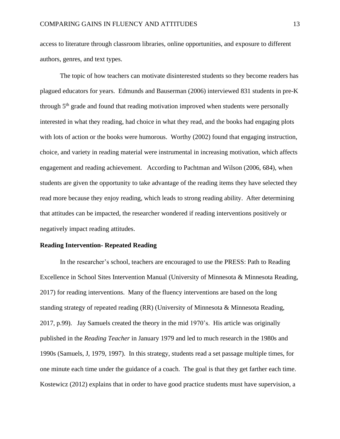access to literature through classroom libraries, online opportunities, and exposure to different authors, genres, and text types.

The topic of how teachers can motivate disinterested students so they become readers has plagued educators for years. Edmunds and Bauserman (2006) interviewed 831 students in pre-K through 5<sup>th</sup> grade and found that reading motivation improved when students were personally interested in what they reading, had choice in what they read, and the books had engaging plots with lots of action or the books were humorous. Worthy (2002) found that engaging instruction, choice, and variety in reading material were instrumental in increasing motivation, which affects engagement and reading achievement. According to Pachtman and Wilson (2006, 684), when students are given the opportunity to take advantage of the reading items they have selected they read more because they enjoy reading, which leads to strong reading ability. After determining that attitudes can be impacted, the researcher wondered if reading interventions positively or negatively impact reading attitudes.

## **Reading Intervention- Repeated Reading**

In the researcher's school, teachers are encouraged to use the PRESS: Path to Reading Excellence in School Sites Intervention Manual (University of Minnesota & Minnesota Reading, 2017) for reading interventions. Many of the fluency interventions are based on the long standing strategy of repeated reading (RR) (University of Minnesota & Minnesota Reading, 2017, p.99). Jay Samuels created the theory in the mid 1970's. His article was originally published in the *Reading Teacher* in January 1979 and led to much research in the 1980s and 1990s (Samuels, J, 1979, 1997). In this strategy, students read a set passage multiple times, for one minute each time under the guidance of a coach. The goal is that they get farther each time. Kostewicz (2012) explains that in order to have good practice students must have supervision, a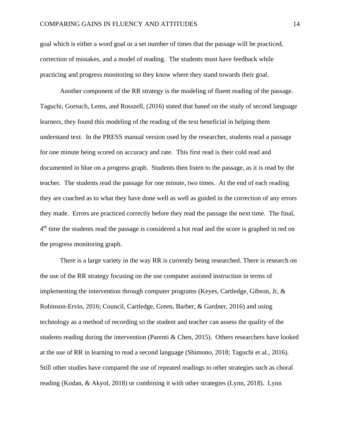goal which is either a word goal or a set number of times that the passage will be practiced, correction of mistakes, and a model of reading. The students must have feedback while practicing and progress monitoring so they know where they stand towards their goal.

Another component of the RR strategy is the modeling of fluent reading of the passage. Taguchi, Gorsuch, Lems, and Rosszell, (2016) stated that based on the study of second language learners, they found this modeling of the reading of the text beneficial in helping them understand text. In the PRESS manual version used by the researcher, students read a passage for one minute being scored on accuracy and rate. This first read is their cold read and documented in blue on a progress graph. Students then listen to the passage, as it is read by the teacher. The students read the passage for one minute, two times. At the end of each reading they are coached as to what they have done well as well as guided in the correction of any errors they made. Errors are practiced correctly before they read the passage the next time. The final, 4<sup>th</sup> time the students read the passage is considered a hot read and the score is graphed in red on the progress monitoring graph.

There is a large variety in the way RR is currently being researched. There is research on the use of the RR strategy focusing on the use computer assisted instruction in terms of implementing the intervention through computer programs (Keyes, Cartledge, Gibson, Jr, & Robinson-Ervin, 2016; Council, Cartledge, Green, Barber, & Gardner, 2016) and using technology as a method of recording so the student and teacher can assess the quality of the students reading during the intervention (Parenti & Chen, 2015). Others researchers have looked at the use of RR in learning to read a second language (Shimono, 2018; Taguchi et al., 2016). Still other studies have compared the use of repeated readings to other strategies such as choral reading (Kodan, & Akyol, 2018) or combining it with other strategies (Lynn, 2018). Lynn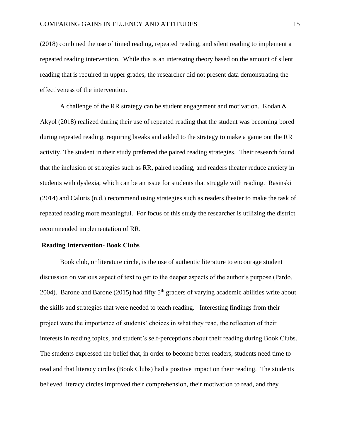(2018) combined the use of timed reading, repeated reading, and silent reading to implement a repeated reading intervention. While this is an interesting theory based on the amount of silent reading that is required in upper grades, the researcher did not present data demonstrating the effectiveness of the intervention.

A challenge of the RR strategy can be student engagement and motivation. Kodan & Akyol (2018) realized during their use of repeated reading that the student was becoming bored during repeated reading, requiring breaks and added to the strategy to make a game out the RR activity. The student in their study preferred the paired reading strategies. Their research found that the inclusion of strategies such as RR, paired reading, and readers theater reduce anxiety in students with dyslexia, which can be an issue for students that struggle with reading. Rasinski (2014) and Caluris (n.d.) recommend using strategies such as readers theater to make the task of repeated reading more meaningful. For focus of this study the researcher is utilizing the district recommended implementation of RR.

## **Reading Intervention- Book Clubs**

Book club, or literature circle, is the use of authentic literature to encourage student discussion on various aspect of text to get to the deeper aspects of the author's purpose (Pardo, 2004). Barone and Barone (2015) had fifty  $5<sup>th</sup>$  graders of varying academic abilities write about the skills and strategies that were needed to teach reading. Interesting findings from their project were the importance of students' choices in what they read, the reflection of their interests in reading topics, and student's self-perceptions about their reading during Book Clubs. The students expressed the belief that, in order to become better readers, students need time to read and that literacy circles (Book Clubs) had a positive impact on their reading. The students believed literacy circles improved their comprehension, their motivation to read, and they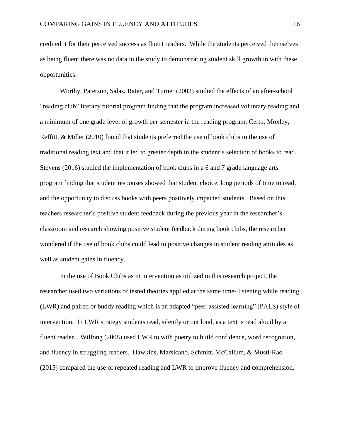credited it for their perceived success as fluent readers. While the students perceived themselves as being fluent there was no data in the study to demonstrating student skill growth in with these opportunities.

Worthy, Paterson, Salas, Rater, and Turner (2002) studied the effects of an after-school "reading club" literacy tutorial program finding that the program increased voluntary reading and a minimum of one grade level of growth per semester in the reading program. Certo, Moxley, Reffitt, & Miller (2010) found that students preferred the use of book clubs to the use of traditional reading text and that it led to greater depth in the student's selection of books to read. Stevens (2016) studied the implementation of book clubs in a 6 and 7 grade language arts program finding that student responses showed that student choice, long periods of time to read, and the opportunity to discuss books with peers positively impacted students. Based on this teachers researcher's positive student feedback during the previous year in the researcher's classroom and research showing positive student feedback during book clubs, the researcher wondered if the use of book clubs could lead to positive changes in student reading attitudes as well as student gains in fluency.

In the use of Book Clubs as in intervention as utilized in this research project, the researcher used two variations of tested theories applied at the same time- listening while reading (LWR) and paired or buddy reading which is an adapted "peer-assisted learning" (PALS) style of intervention. In LWR strategy students read, silently or out loud, as a text is read aloud by a fluent reader. Wilfong (2008) used LWR to with poetry to build confidence, word recognition, and fluency in struggling readers. Hawkins, Marsicano, Schmitt, McCallum, & Musti-Rao (2015) compared the use of repeated reading and LWR to improve fluency and comprehension,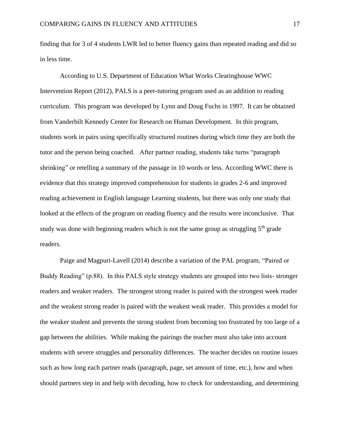finding that for 3 of 4 students LWR led to better fluency gains than repeated reading and did so in less time.

According to U.S. Department of Education What Works Clearinghouse WWC Intervention Report (2012), PALS is a peer-tutoring program used as an addition to reading curriculum. This program was developed by Lynn and Doug Fuchs in 1997. It can be obtained from Vanderbilt Kennedy Center for Research on Human Development. In this program, students work in pairs using specifically structured routines during which time they are both the tutor and the person being coached. After partner reading, students take turns "paragraph shrinking" or retelling a summary of the passage in 10 words or less. According WWC there is evidence that this strategy improved comprehension for students in grades 2-6 and improved reading achievement in English language Learning students, but there was only one study that looked at the effects of the program on reading fluency and the results were inconclusive. That study was done with beginning readers which is not the same group as struggling  $5<sup>th</sup>$  grade readers.

Paige and Magpuri-Lavell (2014) describe a variation of the PAL program, "Paired or Buddy Reading" (p.88). In this PALS style strategy students are grouped into two lists- stronger readers and weaker readers. The strongest strong reader is paired with the strongest week reader and the weakest strong reader is paired with the weakest weak reader. This provides a model for the weaker student and prevents the strong student from becoming too frustrated by too large of a gap between the abilities. While making the pairings the teacher must also take into account students with severe struggles and personality differences. The teacher decides on routine issues such as how long each partner reads (paragraph, page, set amount of time, etc.), how and when should partners step in and help with decoding, how to check for understanding, and determining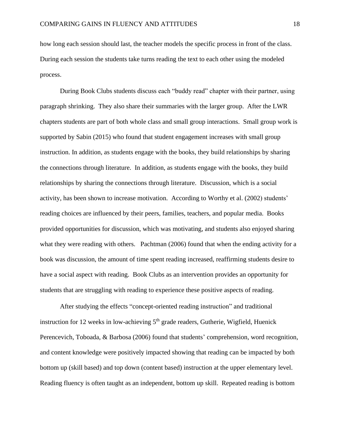how long each session should last, the teacher models the specific process in front of the class. During each session the students take turns reading the text to each other using the modeled process.

During Book Clubs students discuss each "buddy read" chapter with their partner, using paragraph shrinking. They also share their summaries with the larger group. After the LWR chapters students are part of both whole class and small group interactions. Small group work is supported by Sabin (2015) who found that student engagement increases with small group instruction. In addition, as students engage with the books, they build relationships by sharing the connections through literature. In addition, as students engage with the books, they build relationships by sharing the connections through literature. Discussion, which is a social activity, has been shown to increase motivation. According to Worthy et al. (2002) students' reading choices are influenced by their peers, families, teachers, and popular media. Books provided opportunities for discussion, which was motivating, and students also enjoyed sharing what they were reading with others. Pachtman (2006) found that when the ending activity for a book was discussion, the amount of time spent reading increased, reaffirming students desire to have a social aspect with reading. Book Clubs as an intervention provides an opportunity for students that are struggling with reading to experience these positive aspects of reading.

After studying the effects "concept-oriented reading instruction" and traditional instruction for 12 weeks in low-achieving  $5<sup>th</sup>$  grade readers, Gutherie, Wigfield, Huenick Perencevich, Toboada, & Barbosa (2006) found that students' comprehension, word recognition, and content knowledge were positively impacted showing that reading can be impacted by both bottom up (skill based) and top down (content based) instruction at the upper elementary level. Reading fluency is often taught as an independent, bottom up skill. Repeated reading is bottom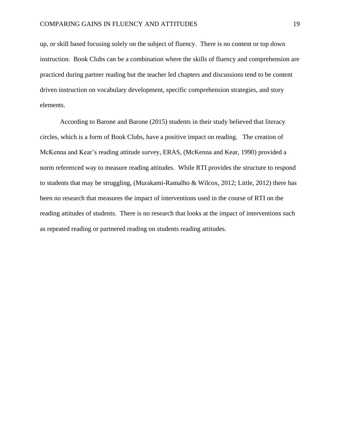up, or skill based focusing solely on the subject of fluency. There is no content or top down instruction. Book Clubs can be a combination where the skills of fluency and comprehension are practiced during partner reading but the teacher led chapters and discussions tend to be content driven instruction on vocabulary development, specific comprehension strategies, and story elements.

According to Barone and Barone (2015) students in their study believed that literacy circles, which is a form of Book Clubs, have a positive impact on reading. The creation of McKenna and Kear's reading attitude survey, ERAS, (McKenna and Kear, 1990) provided a norm referenced way to measure reading attitudes. While RTI provides the structure to respond to students that may be struggling, (Murakami-Ramalho & Wilcox, 2012; Little, 2012) there has been no research that measures the impact of interventions used in the course of RTI on the reading attitudes of students. There is no research that looks at the impact of interventions such as repeated reading or partnered reading on students reading attitudes.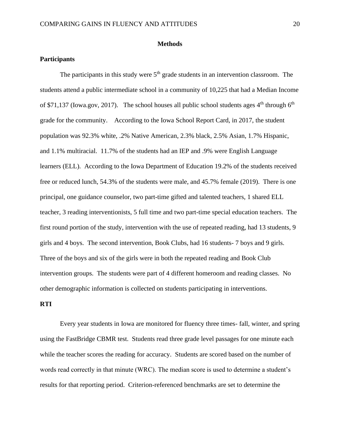### **Methods**

## **Participants**

The participants in this study were  $5<sup>th</sup>$  grade students in an intervention classroom. The students attend a public intermediate school in a community of 10,225 that had a Median Income of \$71,137 (Iowa.gov, 2017). The school houses all public school students ages  $4<sup>th</sup>$  through  $6<sup>th</sup>$ grade for the community. According to the Iowa School Report Card, in 2017, the student population was 92.3% white, .2% Native American, 2.3% black, 2.5% Asian, 1.7% Hispanic, and 1.1% multiracial. 11.7% of the students had an IEP and .9% were English Language learners (ELL). According to the Iowa Department of Education 19.2% of the students received free or reduced lunch, 54.3% of the students were male, and 45.7% female (2019). There is one principal, one guidance counselor, two part-time gifted and talented teachers, 1 shared ELL teacher, 3 reading interventionists, 5 full time and two part-time special education teachers. The first round portion of the study, intervention with the use of repeated reading, had 13 students, 9 girls and 4 boys. The second intervention, Book Clubs, had 16 students- 7 boys and 9 girls. Three of the boys and six of the girls were in both the repeated reading and Book Club intervention groups. The students were part of 4 different homeroom and reading classes. No other demographic information is collected on students participating in interventions.

## **RTI**

Every year students in Iowa are monitored for fluency three times- fall, winter, and spring using the FastBridge CBMR test. Students read three grade level passages for one minute each while the teacher scores the reading for accuracy. Students are scored based on the number of words read correctly in that minute (WRC). The median score is used to determine a student's results for that reporting period. Criterion-referenced benchmarks are set to determine the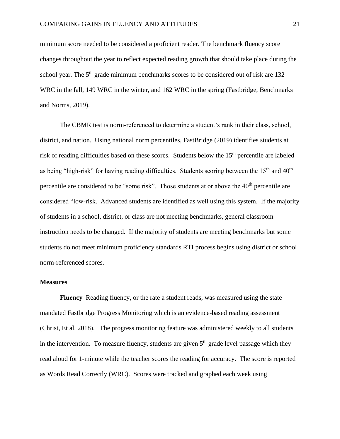minimum score needed to be considered a proficient reader. The benchmark fluency score changes throughout the year to reflect expected reading growth that should take place during the school year. The  $5<sup>th</sup>$  grade minimum benchmarks scores to be considered out of risk are 132 WRC in the fall, 149 WRC in the winter, and 162 WRC in the spring (Fastbridge, Benchmarks and Norms, 2019).

The CBMR test is norm-referenced to determine a student's rank in their class, school, district, and nation. Using national norm percentiles, FastBridge (2019) identifies students at risk of reading difficulties based on these scores. Students below the 15<sup>th</sup> percentile are labeled as being "high-risk" for having reading difficulties. Students scoring between the  $15<sup>th</sup>$  and  $40<sup>th</sup>$ percentile are considered to be "some risk". Those students at or above the 40<sup>th</sup> percentile are considered "low-risk. Advanced students are identified as well using this system. If the majority of students in a school, district, or class are not meeting benchmarks, general classroom instruction needs to be changed. If the majority of students are meeting benchmarks but some students do not meet minimum proficiency standards RTI process begins using district or school norm-referenced scores.

#### **Measures**

**Fluency** Reading fluency, or the rate a student reads, was measured using the state mandated Fastbridge Progress Monitoring which is an evidence-based reading assessment (Christ, Et al. 2018). The progress monitoring feature was administered weekly to all students in the intervention. To measure fluency, students are given  $5<sup>th</sup>$  grade level passage which they read aloud for 1-minute while the teacher scores the reading for accuracy. The score is reported as Words Read Correctly (WRC). Scores were tracked and graphed each week using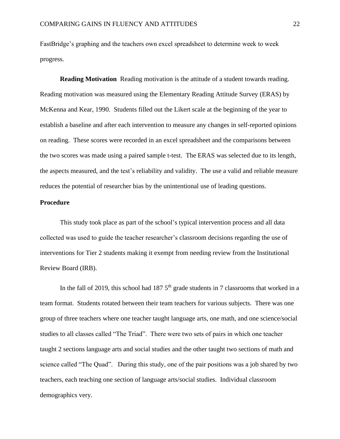FastBridge's graphing and the teachers own excel spreadsheet to determine week to week progress.

**Reading Motivation** Reading motivation is the attitude of a student towards reading. Reading motivation was measured using the Elementary Reading Attitude Survey (ERAS) by McKenna and Kear, 1990. Students filled out the Likert scale at the beginning of the year to establish a baseline and after each intervention to measure any changes in self-reported opinions on reading. These scores were recorded in an excel spreadsheet and the comparisons between the two scores was made using a paired sample t-test. The ERAS was selected due to its length, the aspects measured, and the test's reliability and validity. The use a valid and reliable measure reduces the potential of researcher bias by the unintentional use of leading questions.

# **Procedure**

This study took place as part of the school's typical intervention process and all data collected was used to guide the teacher researcher's classroom decisions regarding the use of interventions for Tier 2 students making it exempt from needing review from the Institutional Review Board (IRB).

In the fall of 2019, this school had  $187.5<sup>th</sup>$  grade students in 7 classrooms that worked in a team format. Students rotated between their team teachers for various subjects. There was one group of three teachers where one teacher taught language arts, one math, and one science/social studies to all classes called "The Triad". There were two sets of pairs in which one teacher taught 2 sections language arts and social studies and the other taught two sections of math and science called "The Quad". During this study, one of the pair positions was a job shared by two teachers, each teaching one section of language arts/social studies. Individual classroom demographics very.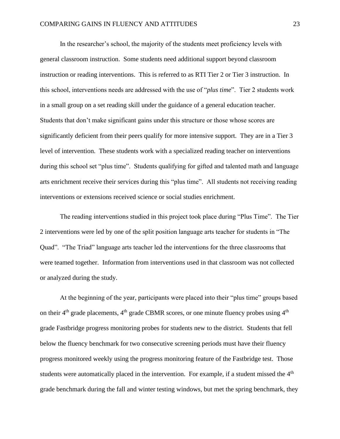In the researcher's school, the majority of the students meet proficiency levels with general classroom instruction. Some students need additional support beyond classroom instruction or reading interventions. This is referred to as RTI Tier 2 or Tier 3 instruction. In this school, interventions needs are addressed with the use of "*plus time*". Tier 2 students work in a small group on a set reading skill under the guidance of a general education teacher. Students that don't make significant gains under this structure or those whose scores are significantly deficient from their peers qualify for more intensive support. They are in a Tier 3 level of intervention. These students work with a specialized reading teacher on interventions during this school set "plus time". Students qualifying for gifted and talented math and language arts enrichment receive their services during this "plus time". All students not receiving reading interventions or extensions received science or social studies enrichment.

The reading interventions studied in this project took place during "Plus Time". The Tier 2 interventions were led by one of the split position language arts teacher for students in "The Quad". "The Triad" language arts teacher led the interventions for the three classrooms that were teamed together. Information from interventions used in that classroom was not collected or analyzed during the study.

At the beginning of the year, participants were placed into their "plus time" groups based on their  $4<sup>th</sup>$  grade placements,  $4<sup>th</sup>$  grade CBMR scores, or one minute fluency probes using  $4<sup>th</sup>$ grade Fastbridge progress monitoring probes for students new to the district. Students that fell below the fluency benchmark for two consecutive screening periods must have their fluency progress monitored weekly using the progress monitoring feature of the Fastbridge test. Those students were automatically placed in the intervention. For example, if a student missed the  $4<sup>th</sup>$ grade benchmark during the fall and winter testing windows, but met the spring benchmark, they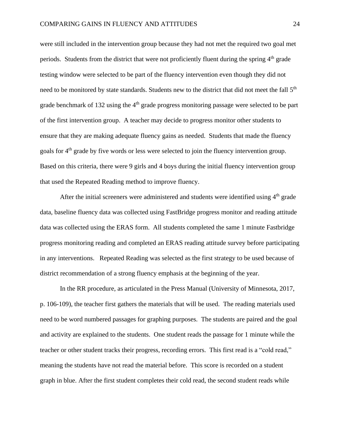were still included in the intervention group because they had not met the required two goal met periods. Students from the district that were not proficiently fluent during the spring  $4<sup>th</sup>$  grade testing window were selected to be part of the fluency intervention even though they did not need to be monitored by state standards. Students new to the district that did not meet the fall 5<sup>th</sup> grade benchmark of 132 using the 4<sup>th</sup> grade progress monitoring passage were selected to be part of the first intervention group. A teacher may decide to progress monitor other students to ensure that they are making adequate fluency gains as needed. Students that made the fluency goals for 4<sup>th</sup> grade by five words or less were selected to join the fluency intervention group. Based on this criteria, there were 9 girls and 4 boys during the initial fluency intervention group that used the Repeated Reading method to improve fluency.

After the initial screeners were administered and students were identified using  $4<sup>th</sup>$  grade data, baseline fluency data was collected using FastBridge progress monitor and reading attitude data was collected using the ERAS form. All students completed the same 1 minute Fastbridge progress monitoring reading and completed an ERAS reading attitude survey before participating in any interventions. Repeated Reading was selected as the first strategy to be used because of district recommendation of a strong fluency emphasis at the beginning of the year.

In the RR procedure, as articulated in the Press Manual (University of Minnesota, 2017, p. 106-109), the teacher first gathers the materials that will be used. The reading materials used need to be word numbered passages for graphing purposes. The students are paired and the goal and activity are explained to the students. One student reads the passage for 1 minute while the teacher or other student tracks their progress, recording errors. This first read is a "cold read," meaning the students have not read the material before. This score is recorded on a student graph in blue. After the first student completes their cold read, the second student reads while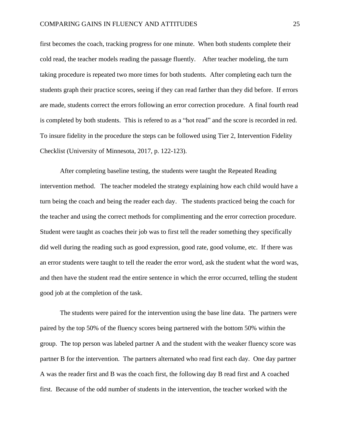first becomes the coach, tracking progress for one minute. When both students complete their cold read, the teacher models reading the passage fluently. After teacher modeling, the turn taking procedure is repeated two more times for both students. After completing each turn the students graph their practice scores, seeing if they can read farther than they did before. If errors are made, students correct the errors following an error correction procedure. A final fourth read is completed by both students. This is refered to as a "hot read" and the score is recorded in red. To insure fidelity in the procedure the steps can be followed using Tier 2, Intervention Fidelity Checklist (University of Minnesota, 2017, p. 122-123).

After completing baseline testing, the students were taught the Repeated Reading intervention method. The teacher modeled the strategy explaining how each child would have a turn being the coach and being the reader each day. The students practiced being the coach for the teacher and using the correct methods for complimenting and the error correction procedure. Student were taught as coaches their job was to first tell the reader something they specifically did well during the reading such as good expression, good rate, good volume, etc. If there was an error students were taught to tell the reader the error word, ask the student what the word was, and then have the student read the entire sentence in which the error occurred, telling the student good job at the completion of the task.

The students were paired for the intervention using the base line data. The partners were paired by the top 50% of the fluency scores being partnered with the bottom 50% within the group. The top person was labeled partner A and the student with the weaker fluency score was partner B for the intervention. The partners alternated who read first each day. One day partner A was the reader first and B was the coach first, the following day B read first and A coached first. Because of the odd number of students in the intervention, the teacher worked with the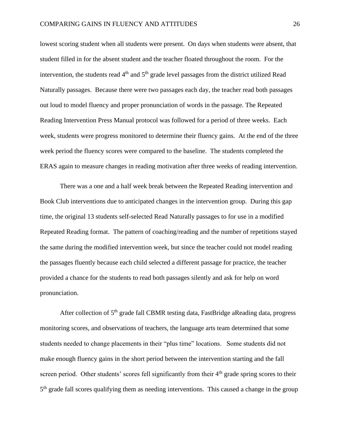lowest scoring student when all students were present. On days when students were absent, that student filled in for the absent student and the teacher floated throughout the room. For the intervention, the students read  $4<sup>th</sup>$  and  $5<sup>th</sup>$  grade level passages from the district utilized Read Naturally passages. Because there were two passages each day, the teacher read both passages out loud to model fluency and proper pronunciation of words in the passage. The Repeated Reading Intervention Press Manual protocol was followed for a period of three weeks. Each week, students were progress monitored to determine their fluency gains. At the end of the three week period the fluency scores were compared to the baseline. The students completed the ERAS again to measure changes in reading motivation after three weeks of reading intervention.

There was a one and a half week break between the Repeated Reading intervention and Book Club interventions due to anticipated changes in the intervention group. During this gap time, the original 13 students self-selected Read Naturally passages to for use in a modified Repeated Reading format. The pattern of coaching/reading and the number of repetitions stayed the same during the modified intervention week, but since the teacher could not model reading the passages fluently because each child selected a different passage for practice, the teacher provided a chance for the students to read both passages silently and ask for help on word pronunciation.

After collection of 5<sup>th</sup> grade fall CBMR testing data, FastBridge aReading data, progress monitoring scores, and observations of teachers, the language arts team determined that some students needed to change placements in their "plus time" locations. Some students did not make enough fluency gains in the short period between the intervention starting and the fall screen period. Other students' scores fell significantly from their  $4<sup>th</sup>$  grade spring scores to their 5<sup>th</sup> grade fall scores qualifying them as needing interventions. This caused a change in the group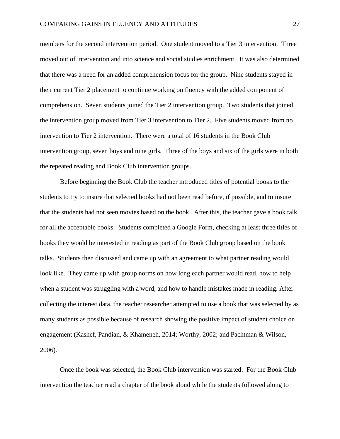members for the second intervention period. One student moved to a Tier 3 intervention. Three moved out of intervention and into science and social studies enrichment. It was also determined that there was a need for an added comprehension focus for the group. Nine students stayed in their current Tier 2 placement to continue working on fluency with the added component of comprehension. Seven students joined the Tier 2 intervention group. Two students that joined the intervention group moved from Tier 3 intervention to Tier 2. Five students moved from no intervention to Tier 2 intervention. There were a total of 16 students in the Book Club intervention group, seven boys and nine girls. Three of the boys and six of the girls were in both the repeated reading and Book Club intervention groups.

Before beginning the Book Club the teacher introduced titles of potential books to the students to try to insure that selected books had not been read before, if possible, and to insure that the students had not seen movies based on the book. After this, the teacher gave a book talk for all the acceptable books. Students completed a Google Form, checking at least three titles of books they would be interested in reading as part of the Book Club group based on the book talks. Students then discussed and came up with an agreement to what partner reading would look like. They came up with group norms on how long each partner would read, how to help when a student was struggling with a word, and how to handle mistakes made in reading. After collecting the interest data, the teacher researcher attempted to use a book that was selected by as many students as possible because of research showing the positive impact of student choice on engagement (Kashef, Pandian, & Khameneh, 2014; Worthy, 2002; and Pachtman & Wilson, 2006).

Once the book was selected, the Book Club intervention was started. For the Book Club intervention the teacher read a chapter of the book aloud while the students followed along to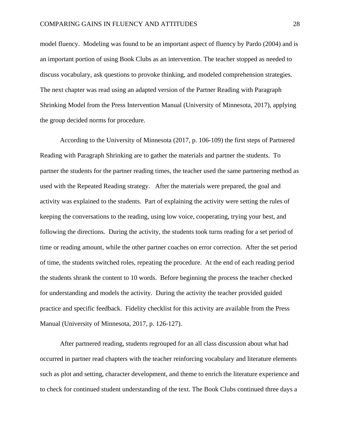model fluency. Modeling was found to be an important aspect of fluency by Pardo (2004) and is an important portion of using Book Clubs as an intervention. The teacher stopped as needed to discuss vocabulary, ask questions to provoke thinking, and modeled comprehension strategies. The next chapter was read using an adapted version of the Partner Reading with Paragraph Shrinking Model from the Press Intervention Manual (University of Minnesota, 2017), applying the group decided norms for procedure.

According to the University of Minnesota (2017, p. 106-109) the first steps of Partnered Reading with Paragraph Shrinking are to gather the materials and partner the students. To partner the students for the partner reading times, the teacher used the same partnering method as used with the Repeated Reading strategy. After the materials were prepared, the goal and activity was explained to the students. Part of explaining the activity were setting the rules of keeping the conversations to the reading, using low voice, cooperating, trying your best, and following the directions. During the activity, the students took turns reading for a set period of time or reading amount, while the other partner coaches on error correction. After the set period of time, the students switched roles, repeating the procedure. At the end of each reading period the students shrank the content to 10 words. Before beginning the process the teacher checked for understanding and models the activity. During the activity the teacher provided guided practice and specific feedback. Fidelity checklist for this activity are available from the Press Manual (University of Minnesota, 2017, p. 126-127).

After partnered reading, students regrouped for an all class discussion about what had occurred in partner read chapters with the teacher reinforcing vocabulary and literature elements such as plot and setting, character development, and theme to enrich the literature experience and to check for continued student understanding of the text. The Book Clubs continued three days a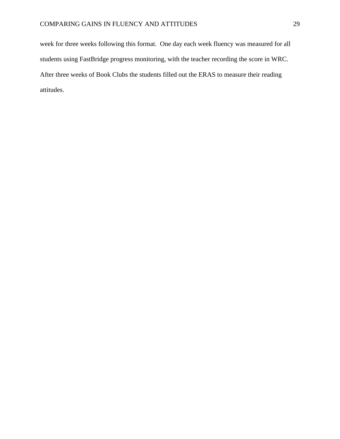week for three weeks following this format. One day each week fluency was measured for all students using FastBridge progress monitoring, with the teacher recording the score in WRC. After three weeks of Book Clubs the students filled out the ERAS to measure their reading attitudes.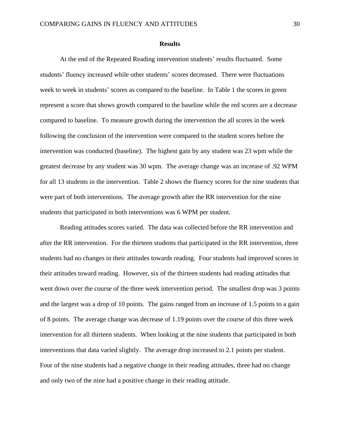#### **Results**

At the end of the Repeated Reading intervention students' results fluctuated. Some students' fluency increased while other students' scores decreased. There were fluctuations week to week in students' scores as compared to the baseline. In Table 1 the scores in green represent a score that shows growth compared to the baseline while the red scores are a decrease compared to baseline. To measure growth during the intervention the all scores in the week following the conclusion of the intervention were compared to the student scores before the intervention was conducted (baseline). The highest gain by any student was 23 wpm while the greatest decrease by any student was 30 wpm. The average change was an increase of .92 WPM for all 13 students in the intervention. Table 2 shows the fluency scores for the nine students that were part of both interventions. The average growth after the RR intervention for the nine students that participated in both interventions was 6 WPM per student.

Reading attitudes scores varied. The data was collected before the RR intervention and after the RR intervention. For the thirteen students that participated in the RR intervention, three students had no changes in their attitudes towards reading. Four students had improved scores in their attitudes toward reading. However, six of the thirteen students had reading attitudes that went down over the course of the three week intervention period. The smallest drop was 3 points and the largest was a drop of 10 points. The gains ranged from an increase of 1.5 points to a gain of 8 points. The average change was decrease of 1.19 points over the course of this three week intervention for all thirteen students. When looking at the nine students that participated in both interventions that data varied slightly. The average drop increased to 2.1 points per student. Four of the nine students had a negative change in their reading attitudes, three had no change and only two of the nine had a positive change in their reading attitude.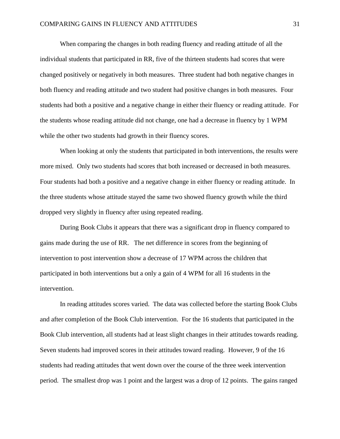When comparing the changes in both reading fluency and reading attitude of all the individual students that participated in RR, five of the thirteen students had scores that were changed positively or negatively in both measures. Three student had both negative changes in both fluency and reading attitude and two student had positive changes in both measures. Four students had both a positive and a negative change in either their fluency or reading attitude. For the students whose reading attitude did not change, one had a decrease in fluency by 1 WPM while the other two students had growth in their fluency scores.

When looking at only the students that participated in both interventions, the results were more mixed. Only two students had scores that both increased or decreased in both measures. Four students had both a positive and a negative change in either fluency or reading attitude. In the three students whose attitude stayed the same two showed fluency growth while the third dropped very slightly in fluency after using repeated reading.

During Book Clubs it appears that there was a significant drop in fluency compared to gains made during the use of RR. The net difference in scores from the beginning of intervention to post intervention show a decrease of 17 WPM across the children that participated in both interventions but a only a gain of 4 WPM for all 16 students in the intervention.

In reading attitudes scores varied. The data was collected before the starting Book Clubs and after completion of the Book Club intervention. For the 16 students that participated in the Book Club intervention, all students had at least slight changes in their attitudes towards reading. Seven students had improved scores in their attitudes toward reading. However, 9 of the 16 students had reading attitudes that went down over the course of the three week intervention period. The smallest drop was 1 point and the largest was a drop of 12 points. The gains ranged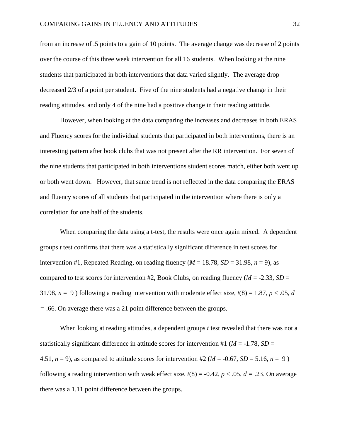from an increase of .5 points to a gain of 10 points. The average change was decrease of 2 points over the course of this three week intervention for all 16 students. When looking at the nine students that participated in both interventions that data varied slightly. The average drop decreased 2/3 of a point per student. Five of the nine students had a negative change in their reading attitudes, and only 4 of the nine had a positive change in their reading attitude.

However, when looking at the data comparing the increases and decreases in both ERAS and Fluency scores for the individual students that participated in both interventions, there is an interesting pattern after book clubs that was not present after the RR intervention. For seven of the nine students that participated in both interventions student scores match, either both went up or both went down. However, that same trend is not reflected in the data comparing the ERAS and fluency scores of all students that participated in the intervention where there is only a correlation for one half of the students.

When comparing the data using a t-test, the results were once again mixed. A dependent groups *t* test confirms that there was a statistically significant difference in test scores for intervention #1, Repeated Reading, on reading fluency  $(M = 18.78, SD = 31.98, n = 9)$ , as compared to test scores for intervention #2, Book Clubs, on reading fluency ( $M = -2.33$ ,  $SD =$ 31.98,  $n = 9$ ) following a reading intervention with moderate effect size,  $t(8) = 1.87$ ,  $p < .05$ , *d =* .66. On average there was a 21 point difference between the groups.

When looking at reading attitudes, a dependent groups *t* test revealed that there was not a statistically significant difference in attitude scores for intervention #1 ( $M = -1.78$ ,  $SD =$ 4.51,  $n = 9$ ), as compared to attitude scores for intervention #2 ( $M = -0.67$ ,  $SD = 5.16$ ,  $n = 9$ ) following a reading intervention with weak effect size,  $t(8) = -0.42$ ,  $p < .05$ ,  $d = .23$ . On average there was a 1.11 point difference between the groups.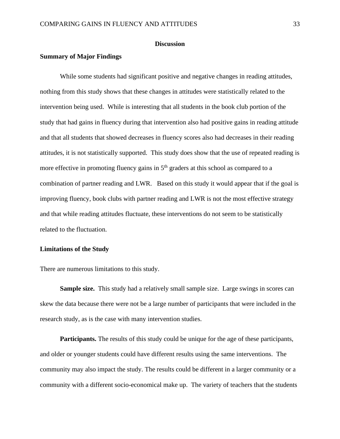# **Discussion**

## **Summary of Major Findings**

While some students had significant positive and negative changes in reading attitudes, nothing from this study shows that these changes in attitudes were statistically related to the intervention being used. While is interesting that all students in the book club portion of the study that had gains in fluency during that intervention also had positive gains in reading attitude and that all students that showed decreases in fluency scores also had decreases in their reading attitudes, it is not statistically supported. This study does show that the use of repeated reading is more effective in promoting fluency gains in  $5<sup>th</sup>$  graders at this school as compared to a combination of partner reading and LWR. Based on this study it would appear that if the goal is improving fluency, book clubs with partner reading and LWR is not the most effective strategy and that while reading attitudes fluctuate, these interventions do not seem to be statistically related to the fluctuation.

## **Limitations of the Study**

There are numerous limitations to this study.

**Sample size.** This study had a relatively small sample size. Large swings in scores can skew the data because there were not be a large number of participants that were included in the research study, as is the case with many intervention studies.

**Participants.** The results of this study could be unique for the age of these participants, and older or younger students could have different results using the same interventions. The community may also impact the study. The results could be different in a larger community or a community with a different socio-economical make up. The variety of teachers that the students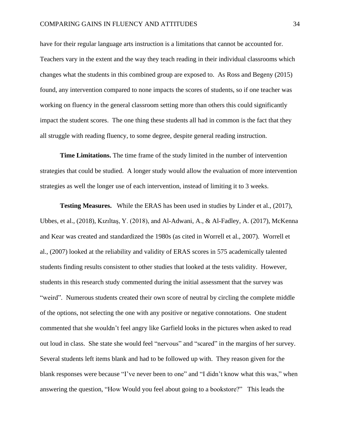have for their regular language arts instruction is a limitations that cannot be accounted for. Teachers vary in the extent and the way they teach reading in their individual classrooms which changes what the students in this combined group are exposed to. As Ross and Begeny (2015) found, any intervention compared to none impacts the scores of students, so if one teacher was working on fluency in the general classroom setting more than others this could significantly impact the student scores. The one thing these students all had in common is the fact that they all struggle with reading fluency, to some degree, despite general reading instruction.

**Time Limitations.** The time frame of the study limited in the number of intervention strategies that could be studied. A longer study would allow the evaluation of more intervention strategies as well the longer use of each intervention, instead of limiting it to 3 weeks.

**Testing Measures.** While the ERAS has been used in studies by Linder et al., (2017), Ubbes, et al., (2018), Kızıltaş, Y. (2018), and Al-Adwani, A., & Al-Fadley, A. (2017), McKenna and Kear was created and standardized the 1980s (as cited in Worrell et al., 2007). Worrell et al., (2007) looked at the reliability and validity of ERAS scores in 575 academically talented students finding results consistent to other studies that looked at the tests validity. However, students in this research study commented during the initial assessment that the survey was "weird". Numerous students created their own score of neutral by circling the complete middle of the options, not selecting the one with any positive or negative connotations. One student commented that she wouldn't feel angry like Garfield looks in the pictures when asked to read out loud in class. She state she would feel "nervous" and "scared" in the margins of her survey. Several students left items blank and had to be followed up with. They reason given for the blank responses were because "I've never been to one" and "I didn't know what this was," when answering the question, "How Would you feel about going to a bookstore?" This leads the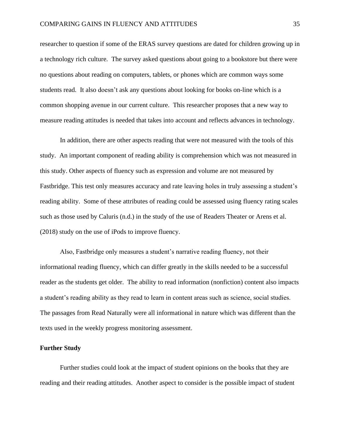researcher to question if some of the ERAS survey questions are dated for children growing up in a technology rich culture. The survey asked questions about going to a bookstore but there were no questions about reading on computers, tablets, or phones which are common ways some students read. It also doesn't ask any questions about looking for books on-line which is a common shopping avenue in our current culture. This researcher proposes that a new way to measure reading attitudes is needed that takes into account and reflects advances in technology.

In addition, there are other aspects reading that were not measured with the tools of this study. An important component of reading ability is comprehension which was not measured in this study. Other aspects of fluency such as expression and volume are not measured by Fastbridge. This test only measures accuracy and rate leaving holes in truly assessing a student's reading ability. Some of these attributes of reading could be assessed using fluency rating scales such as those used by Caluris (n.d.) in the study of the use of Readers Theater or Arens et al. (2018) study on the use of iPods to improve fluency.

Also, Fastbridge only measures a student's narrative reading fluency, not their informational reading fluency, which can differ greatly in the skills needed to be a successful reader as the students get older. The ability to read information (nonfiction) content also impacts a student's reading ability as they read to learn in content areas such as science, social studies. The passages from Read Naturally were all informational in nature which was different than the texts used in the weekly progress monitoring assessment.

#### **Further Study**

Further studies could look at the impact of student opinions on the books that they are reading and their reading attitudes. Another aspect to consider is the possible impact of student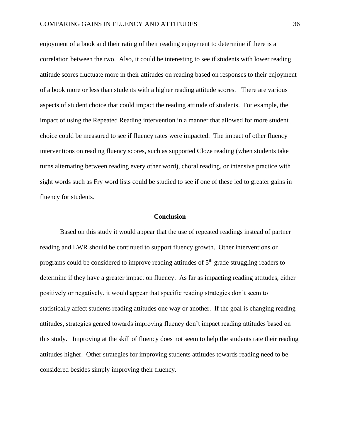enjoyment of a book and their rating of their reading enjoyment to determine if there is a correlation between the two. Also, it could be interesting to see if students with lower reading attitude scores fluctuate more in their attitudes on reading based on responses to their enjoyment of a book more or less than students with a higher reading attitude scores. There are various aspects of student choice that could impact the reading attitude of students. For example, the impact of using the Repeated Reading intervention in a manner that allowed for more student choice could be measured to see if fluency rates were impacted. The impact of other fluency interventions on reading fluency scores, such as supported Cloze reading (when students take turns alternating between reading every other word), choral reading, or intensive practice with sight words such as Fry word lists could be studied to see if one of these led to greater gains in fluency for students.

## **Conclusion**

Based on this study it would appear that the use of repeated readings instead of partner reading and LWR should be continued to support fluency growth. Other interventions or programs could be considered to improve reading attitudes of 5<sup>th</sup> grade struggling readers to determine if they have a greater impact on fluency. As far as impacting reading attitudes, either positively or negatively, it would appear that specific reading strategies don't seem to statistically affect students reading attitudes one way or another. If the goal is changing reading attitudes, strategies geared towards improving fluency don't impact reading attitudes based on this study. Improving at the skill of fluency does not seem to help the students rate their reading attitudes higher. Other strategies for improving students attitudes towards reading need to be considered besides simply improving their fluency.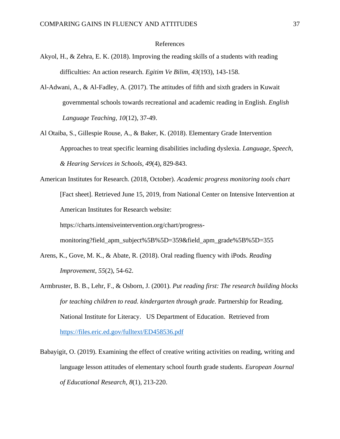#### References

- Akyol, H., & Zehra, E. K. (2018). Improving the reading skills of a students with reading difficulties: An action research. *Egitim Ve Bilim, 43*(193), 143-158.
- Al-Adwani, A., & Al-Fadley, A. (2017). The attitudes of fifth and sixth graders in Kuwait governmental schools towards recreational and academic reading in English. *English Language Teaching, 10*(12), 37-49.
- Al Otaiba, S., Gillespie Rouse, A., & Baker, K. (2018). Elementary Grade Intervention Approaches to treat specific learning disabilities including dyslexia. *Language, Speech, & Hearing Services in Schools*, *49*(4), 829-843.
- American Institutes for Research. (2018, October). *Academic progress monitoring tools chart* [Fact sheet]. Retrieved June 15, 2019, from National Center on Intensive Intervention at American Institutes for Research website: https://charts.intensiveintervention.org/chart/progressmonitoring?field\_apm\_subject%5B%5D=359&field\_apm\_grade%5B%5D=355
- Arens, K., Gove, M. K., & Abate, R. (2018). Oral reading fluency with iPods. *Reading Improvement, 55*(2), 54-62.
- Armbruster, B. B., Lehr, F., & Osborn, J. (2001). *Put reading first: The research building blocks for teaching children to read. kindergarten through grade.* Partnership for Reading. National Institute for Literacy. US Department of Education. Retrieved from <https://files.eric.ed.gov/fulltext/ED458536.pdf>
- Babayigit, O. (2019). Examining the effect of creative writing activities on reading, writing and language lesson attitudes of elementary school fourth grade students. *European Journal of Educational Research, 8*(1), 213-220.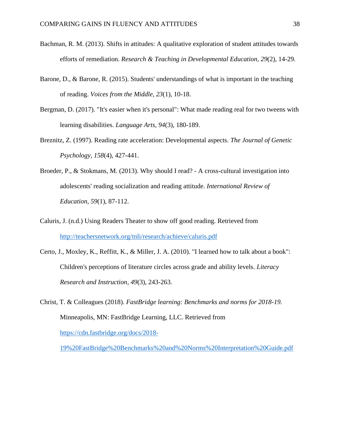- Bachman, R. M. (2013). Shifts in attitudes: A qualitative exploration of student attitudes towards efforts of remediation. *Research & Teaching in Developmental Education, 29*(2), 14-29.
- Barone, D., & Barone, R. (2015). Students' understandings of what is important in the teaching of reading. *Voices from the Middle*, *23*(1), 10-18.
- Bergman, D. (2017). "It's easier when it's personal": What made reading real for two tweens with learning disabilities. *Language Arts, 94*(3), 180-189.
- Breznitz, Z. (1997). Reading rate acceleration: Developmental aspects. *The Journal of Genetic Psychology, 158*(4), 427-441.
- Broeder, P., & Stokmans, M. (2013). Why should I read? A cross-cultural investigation into adolescents' reading socialization and reading attitude. *International Review of Education, 59*(1), 87-112.
- Caluris, J. (n.d.) Using Readers Theater to show off good reading. Retrieved from <http://teachersnetwork.org/tnli/research/achieve/caluris.pdf>
- Certo, J., Moxley, K., Reffitt, K., & Miller, J. A. (2010). "I learned how to talk about a book": Children's perceptions of literature circles across grade and ability levels. *Literacy Research and Instruction, 49*(3), 243-263.
- Christ, T. & Colleagues (2018). *FastBridge learning: Benchmarks and norms for 2018-19.*  Minneapolis, MN: FastBridge Learning, LLC. Retrieved from [https://cdn.fastbridge.org/docs/2018-](https://cdn.fastbridge.org/docs/2018-19%20FastBridge%20Benchmarks%20and%20Norms%20Interpretation%20Guide.pdf)

[19%20FastBridge%20Benchmarks%20and%20Norms%20Interpretation%20Guide.pdf](https://cdn.fastbridge.org/docs/2018-19%20FastBridge%20Benchmarks%20and%20Norms%20Interpretation%20Guide.pdf)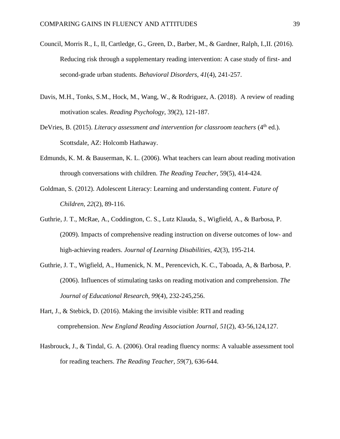- Council, Morris R., I., II, Cartledge, G., Green, D., Barber, M., & Gardner, Ralph, I.,II. (2016). Reducing risk through a supplementary reading intervention: A case study of first- and second-grade urban students. *Behavioral Disorders, 41*(4), 241-257.
- Davis, M.H., Tonks, S.M., Hock, M., Wang, W., & Rodriguez, A. (2018). A review of reading motivation scales. *Reading Psychology*, 39(2), 121-187.
- DeVries, B. (2015). *Literacy assessment and intervention for classroom teachers* (4<sup>th</sup> ed.). Scottsdale, AZ: Holcomb Hathaway.
- Edmunds, K. M. & Bauserman, K. L. (2006). What teachers can learn about reading motivation through conversations with children. *The Reading Teacher,* 59(5), 414-424.
- Goldman, S. (2012). Adolescent Literacy: Learning and understanding content. *Future of Children*, *22*(2), 89-116.
- Guthrie, J. T., McRae, A., Coddington, C. S., Lutz Klauda, S., Wigfield, A., & Barbosa, P. (2009). Impacts of comprehensive reading instruction on diverse outcomes of low- and high-achieving readers. *Journal of Learning Disabilities, 42*(3), 195-214.
- Guthrie, J. T., Wigfield, A., Humenick, N. M., Perencevich, K. C., Taboada, A, & Barbosa, P. (2006). Influences of stimulating tasks on reading motivation and comprehension. *The Journal of Educational Research, 99*(4), 232-245,256.
- Hart, J., & Stebick, D. (2016). Making the invisible visible: RTI and reading comprehension. *New England Reading Association Journal, 51*(2), 43-56,124,127.
- Hasbrouck, J., & Tindal, G. A. (2006). Oral reading fluency norms: A valuable assessment tool for reading teachers. *The Reading Teacher, 59*(7), 636-644.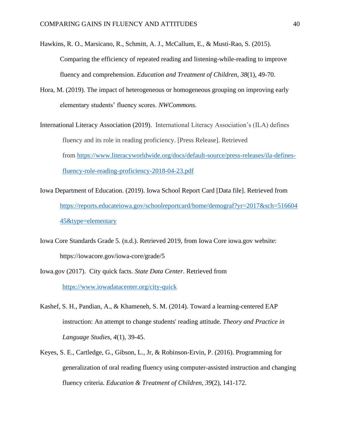Hawkins, R. O., Marsicano, R., Schmitt, A. J., McCallum, E., & Musti-Rao, S. (2015). Comparing the efficiency of repeated reading and listening-while-reading to improve fluency and comprehension. *Education and Treatment of Children*, *38*(1), 49-70.

Hora, M. (2019). The impact of heterogeneous or homogeneous grouping on improving early elementary students' fluency scores. *NWCommons.*

International Literacy Association (2019). International Literacy Association's (ILA) defines fluency and its role in reading proficiency. [Press Release]. Retrieved from [https://www.literacyworldwide.org/docs/default-source/press-releases/ila-defines](https://www.literacyworldwide.org/docs/default-source/press-releases/ila-defines-fluency-role-reading-proficiency-2018-04-23.pdf)[fluency-role-reading-proficiency-2018-04-23.pdf](https://www.literacyworldwide.org/docs/default-source/press-releases/ila-defines-fluency-role-reading-proficiency-2018-04-23.pdf)

- Iowa Department of Education. (2019). Iowa School Report Card [Data file]. Retrieved from [https://reports.educateiowa.gov/schoolreportcard/home/demograf?yr=2017&sch=516604](https://reports.educateiowa.gov/schoolreportcard/home/demograf?yr=2017&sch=51660445&type=elementary) [45&type=elementary](https://reports.educateiowa.gov/schoolreportcard/home/demograf?yr=2017&sch=51660445&type=elementary)
- Iowa Core Standards Grade 5. (n.d.). Retrieved 2019, from Iowa Core iowa.gov website: https://iowacore.gov/iowa-core/grade/5
- Iowa.gov (2017). City quick facts. *State Data Center*. Retrieved from <https://www.iowadatacenter.org/city-quick>
- Kashef, S. H., Pandian, A., & Khameneh, S. M. (2014). Toward a learning-centered EAP instruction: An attempt to change students' reading attitude. *Theory and Practice in Language Studies, 4*(1), 39-45.
- Keyes, S. E., Cartledge, G., Gibson, L., Jr, & Robinson-Ervin, P. (2016). Programming for generalization of oral reading fluency using computer-assisted instruction and changing fluency criteria. *Education & Treatment of Children, 39*(2), 141-172.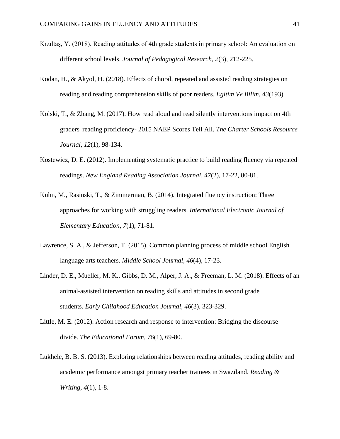- Kızıltaş, Y. (2018). Reading attitudes of 4th grade students in primary school: An evaluation on different school levels. *Journal of Pedagogical Research, 2*(3), 212-225.
- Kodan, H., & Akyol, H. (2018). Effects of choral, repeated and assisted reading strategies on reading and reading comprehension skills of poor readers. *Egitim Ve Bilim, 43*(193).
- Kolski, T., & Zhang, M. (2017). How read aloud and read silently interventions impact on 4th graders' reading proficiency- 2015 NAEP Scores Tell All. *The Charter Schools Resource Journal, 12*(1), 98-134.
- Kostewicz, D. E. (2012). Implementing systematic practice to build reading fluency via repeated readings. *New England Reading Association Journal, 47*(2), 17-22, 80-81.
- Kuhn, M., Rasinski, T., & Zimmerman, B. (2014). Integrated fluency instruction: Three approaches for working with struggling readers. *International Electronic Journal of Elementary Education, 7*(1), 71-81.
- Lawrence, S. A., & Jefferson, T. (2015). Common planning process of middle school English language arts teachers. *Middle School Journal*, *46*(4), 17-23.
- Linder, D. E., Mueller, M. K., Gibbs, D. M., Alper, J. A., & Freeman, L. M. (2018). Effects of an animal-assisted intervention on reading skills and attitudes in second grade students. *Early Childhood Education Journal, 46*(3), 323-329.
- Little, M. E. (2012). Action research and response to intervention: Bridging the discourse divide. *The Educational Forum, 76*(1), 69-80.
- Lukhele, B. B. S. (2013). Exploring relationships between reading attitudes, reading ability and academic performance amongst primary teacher trainees in Swaziland. *Reading & Writing, 4*(1), 1-8.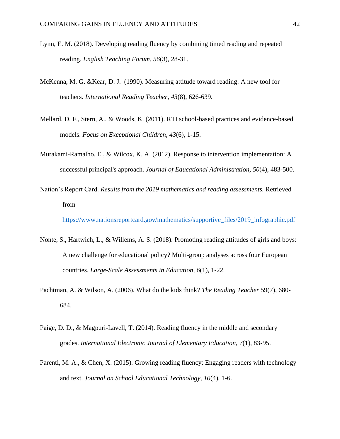- Lynn, E. M. (2018). Developing reading fluency by combining timed reading and repeated reading. *English Teaching Forum, 56*(3), 28-31.
- McKenna, M. G. &Kear, D. J. (1990). Measuring attitude toward reading: A new tool for teachers. *International Reading Teacher, 43*(8), 626-639.
- Mellard, D. F., Stern, A., & Woods, K. (2011). RTI school-based practices and evidence-based models. *Focus on Exceptional Children, 43*(6), 1-15.
- Murakami-Ramalho, E., & Wilcox, K. A. (2012). Response to intervention implementation: A successful principal's approach. *Journal of Educational Administration, 50*(4), 483-500.
- Nation's Report Card. *Results from the 2019 mathematics and reading assessments.* Retrieved from

[https://www.nationsreportcard.gov/mathematics/supportive\\_files/2019\\_infographic.pdf](https://www.nationsreportcard.gov/mathematics/supportive_files/2019_infographic.pdf)

- Nonte, S., Hartwich, L., & Willems, A. S. (2018). Promoting reading attitudes of girls and boys: A new challenge for educational policy? Multi-group analyses across four European countries. *Large-Scale Assessments in Education, 6*(1), 1-22.
- Pachtman, A. & Wilson, A. (2006). What do the kids think? *The Reading Teacher* 59(7), 680- 684.
- Paige, D. D., & Magpuri-Lavell, T. (2014). Reading fluency in the middle and secondary grades. *International Electronic Journal of Elementary Education, 7*(1), 83-95.
- Parenti, M. A., & Chen, X. (2015). Growing reading fluency: Engaging readers with technology and text. *Journal on School Educational Technology, 10*(4), 1-6.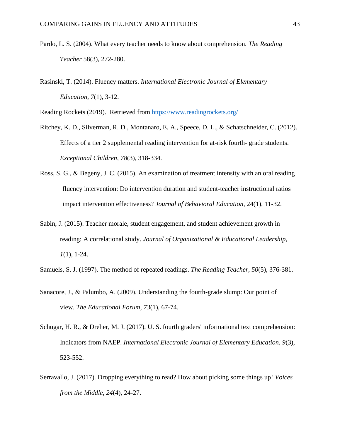- Pardo, L. S. (2004). What every teacher needs to know about comprehension. *The Reading Teacher* 58(3), 272-280.
- Rasinski, T. (2014). Fluency matters. *International Electronic Journal of Elementary Education, 7*(1), 3-12.

Reading Rockets (2019). Retrieved from<https://www.readingrockets.org/>

- Ritchey, K. D., Silverman, R. D., Montanaro, E. A., Speece, D. L., & Schatschneider, C. (2012). Effects of a tier 2 supplemental reading intervention for at-risk fourth- grade students. *Exceptional Children*, *78*(3), 318-334.
- Ross, S. G., & Begeny, J. C. (2015). An examination of treatment intensity with an oral reading fluency intervention: Do intervention duration and student-teacher instructional ratios impact intervention effectiveness? *Journal of Behavioral Education*, 24(1), 11-32.
- Sabin, J. (2015). Teacher morale, student engagement, and student achievement growth in reading: A correlational study. *Journal of Organizational & Educational Leadership*, *1*(1), 1-24.
- Samuels, S. J. (1997). The method of repeated readings. *The Reading Teacher, 50*(5), 376-381.
- Sanacore, J., & Palumbo, A. (2009). Understanding the fourth-grade slump: Our point of view. *The Educational Forum, 73*(1), 67-74.
- Schugar, H. R., & Dreher, M. J. (2017). U. S. fourth graders' informational text comprehension: Indicators from NAEP. *International Electronic Journal of Elementary Education, 9*(3), 523-552.
- Serravallo, J. (2017). Dropping everything to read? How about picking some things up! *Voices from the Middle, 24*(4), 24-27.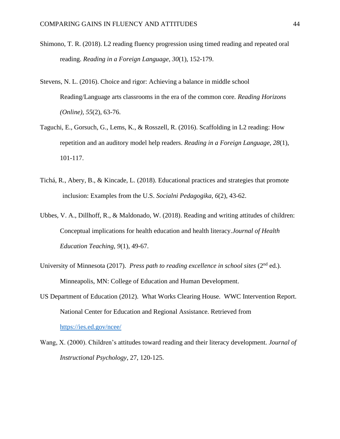- Shimono, T. R. (2018). L2 reading fluency progression using timed reading and repeated oral reading. *Reading in a Foreign Language, 30*(1), 152-179.
- Stevens, N. L. (2016). Choice and rigor: Achieving a balance in middle school Reading/Language arts classrooms in the era of the common core. *Reading Horizons (Online), 55*(2), 63-76.
- Taguchi, E., Gorsuch, G., Lems, K., & Rosszell, R. (2016). Scaffolding in L2 reading: How repetition and an auditory model help readers. *Reading in a Foreign Language, 28*(1), 101-117.
- Tichá, R., Abery, B., & Kincade, L. (2018). Educational practices and strategies that promote inclusion: Examples from the U.S. *Socialni Pedagogika, 6*(2), 43-62.
- Ubbes, V. A., Dillhoff, R., & Maldonado, W. (2018). Reading and writing attitudes of children: Conceptual implications for health education and health literacy.*Journal of Health Education Teaching, 9*(1), 49-67.
- University of Minnesota (2017). *Press path to reading excellence in school sites* (2<sup>nd</sup> ed.). Minneapolis, MN: College of Education and Human Development.
- US Department of Education (2012). What Works Clearing House. WWC Intervention Report. National Center for Education and Regional Assistance. Retrieved from

<https://ies.ed.gov/ncee/>

Wang, X. (2000). Children's attitudes toward reading and their literacy development. *Journal of Instructional Psychology*, 27, 120-125.